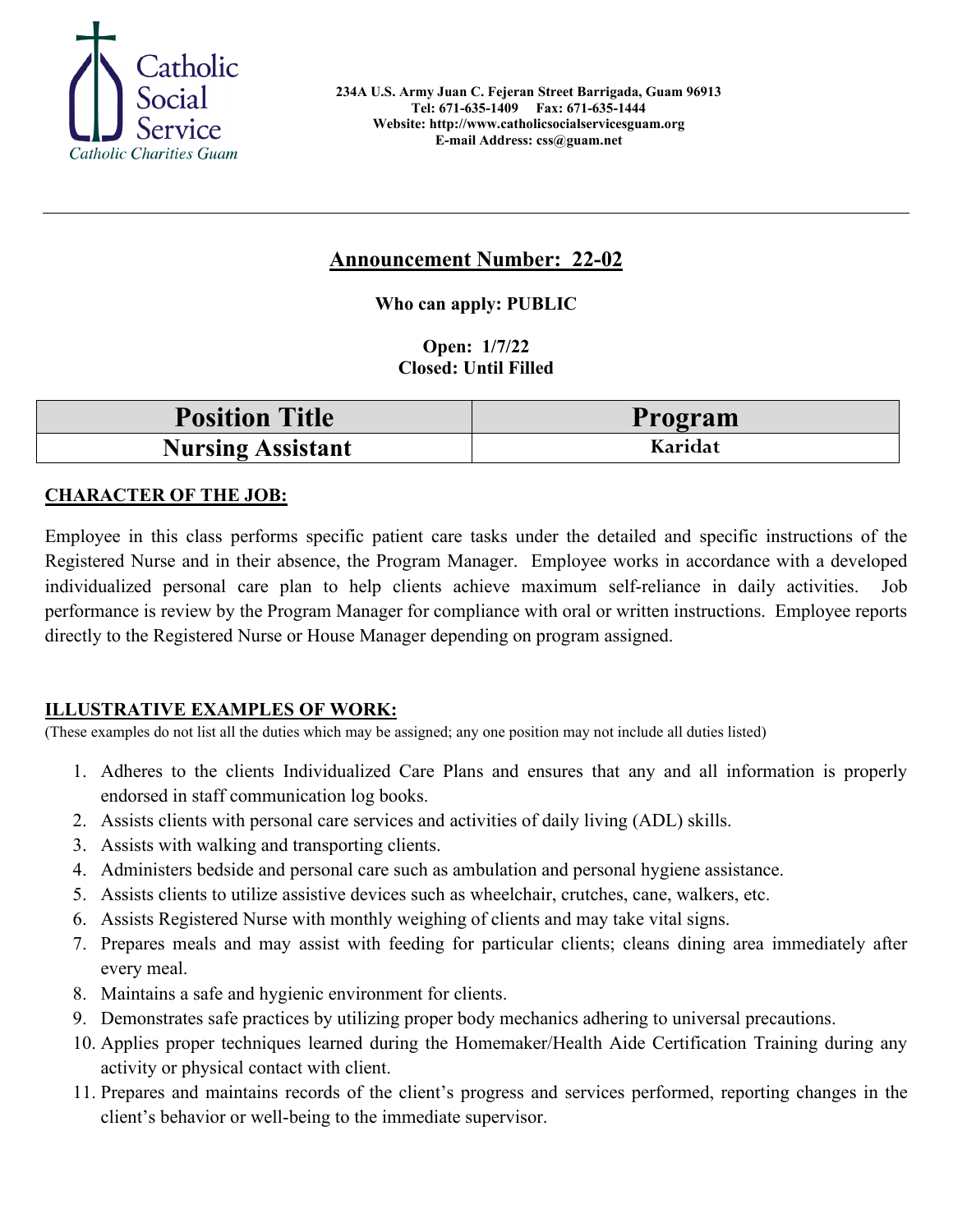

# **Announcement Number: 22-02**

**Who can apply: PUBLIC**

**Open: 1/7/22 Closed: Until Filled** 

| <b>Position Title</b>    | Program |
|--------------------------|---------|
| <b>Nursing Assistant</b> | Karidat |

# **CHARACTER OF THE JOB:**

Employee in this class performs specific patient care tasks under the detailed and specific instructions of the Registered Nurse and in their absence, the Program Manager. Employee works in accordance with a developed individualized personal care plan to help clients achieve maximum self-reliance in daily activities. Job performance is review by the Program Manager for compliance with oral or written instructions. Employee reports directly to the Registered Nurse or House Manager depending on program assigned.

# **ILLUSTRATIVE EXAMPLES OF WORK:**

(These examples do not list all the duties which may be assigned; any one position may not include all duties listed)

- 1. Adheres to the clients Individualized Care Plans and ensures that any and all information is properly endorsed in staff communication log books.
- 2. Assists clients with personal care services and activities of daily living (ADL) skills.
- 3. Assists with walking and transporting clients.
- 4. Administers bedside and personal care such as ambulation and personal hygiene assistance.
- 5. Assists clients to utilize assistive devices such as wheelchair, crutches, cane, walkers, etc.
- 6. Assists Registered Nurse with monthly weighing of clients and may take vital signs.
- 7. Prepares meals and may assist with feeding for particular clients; cleans dining area immediately after every meal.
- 8. Maintains a safe and hygienic environment for clients.
- 9. Demonstrates safe practices by utilizing proper body mechanics adhering to universal precautions.
- 10. Applies proper techniques learned during the Homemaker/Health Aide Certification Training during any activity or physical contact with client.
- 11. Prepares and maintains records of the client's progress and services performed, reporting changes in the client's behavior or well-being to the immediate supervisor.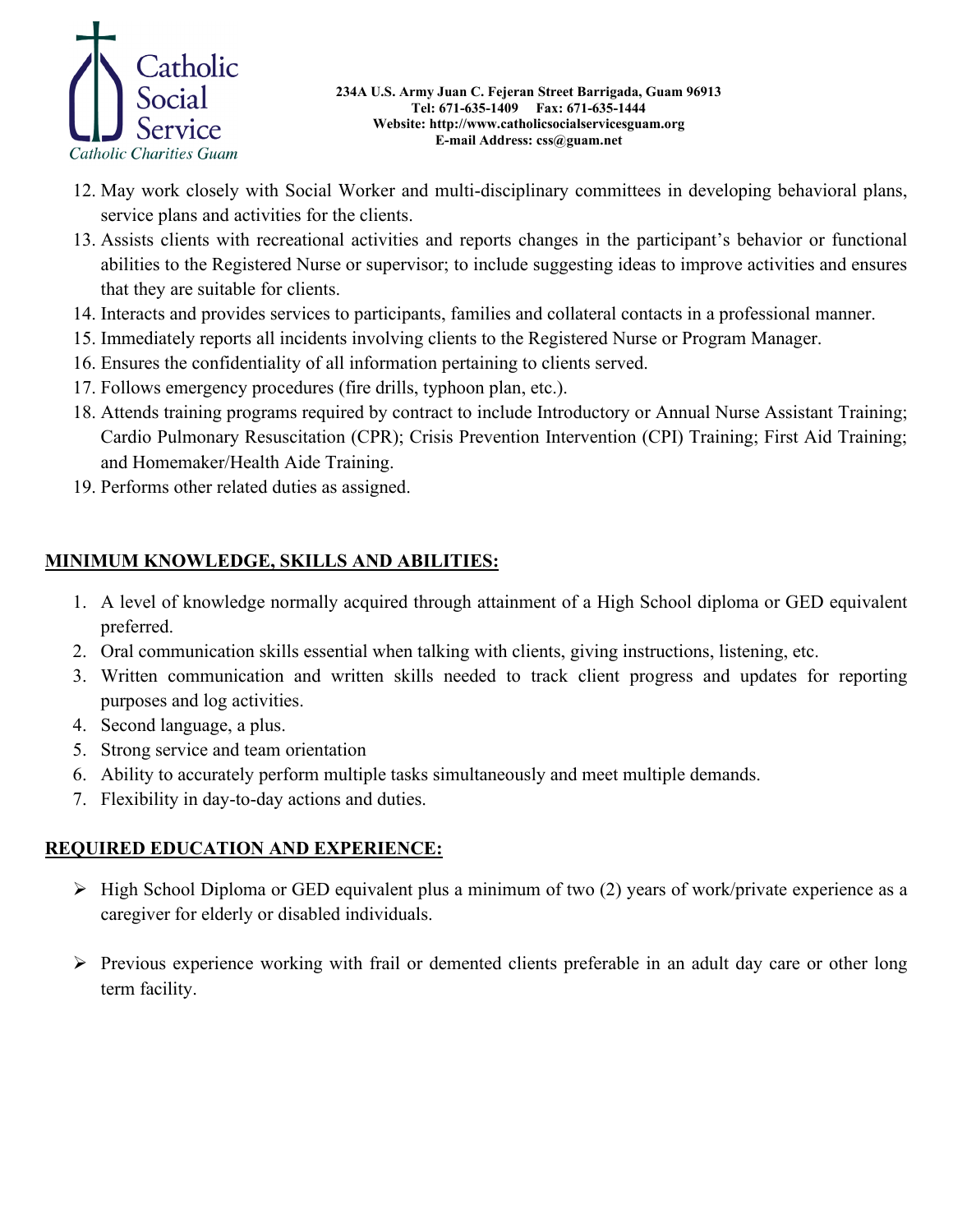

- 12. May work closely with Social Worker and multi-disciplinary committees in developing behavioral plans, service plans and activities for the clients.
- 13. Assists clients with recreational activities and reports changes in the participant's behavior or functional abilities to the Registered Nurse or supervisor; to include suggesting ideas to improve activities and ensures that they are suitable for clients.
- 14. Interacts and provides services to participants, families and collateral contacts in a professional manner.
- 15. Immediately reports all incidents involving clients to the Registered Nurse or Program Manager.
- 16. Ensures the confidentiality of all information pertaining to clients served.
- 17. Follows emergency procedures (fire drills, typhoon plan, etc.).
- 18. Attends training programs required by contract to include Introductory or Annual Nurse Assistant Training; Cardio Pulmonary Resuscitation (CPR); Crisis Prevention Intervention (CPI) Training; First Aid Training; and Homemaker/Health Aide Training.
- 19. Performs other related duties as assigned.

# **MINIMUM KNOWLEDGE, SKILLS AND ABILITIES:**

- 1. A level of knowledge normally acquired through attainment of a High School diploma or GED equivalent preferred.
- 2. Oral communication skills essential when talking with clients, giving instructions, listening, etc.
- 3. Written communication and written skills needed to track client progress and updates for reporting purposes and log activities.
- 4. Second language, a plus.
- 5. Strong service and team orientation
- 6. Ability to accurately perform multiple tasks simultaneously and meet multiple demands.
- 7. Flexibility in day-to-day actions and duties.

# **REQUIRED EDUCATION AND EXPERIENCE:**

- $\triangleright$  High School Diploma or GED equivalent plus a minimum of two (2) years of work/private experience as a caregiver for elderly or disabled individuals.
- $\triangleright$  Previous experience working with frail or demented clients preferable in an adult day care or other long term facility.